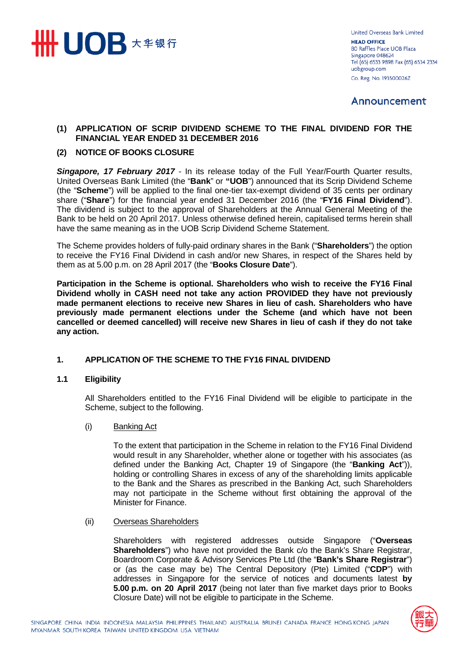

**United Overseas Bank Limited HEAD OFFICE** 80 Raffles Place UOB Plaza Singapore 048624 Tel (65) 6533 9898 Fax (65) 6534 2334 uobgroup.com Co. Reg. No. 193500026Z

# Announcement

# **(1) APPLICATION OF SCRIP DIVIDEND SCHEME TO THE FINAL DIVIDEND FOR THE FINANCIAL YEAR ENDED 31 DECEMBER 2016**

## **(2) NOTICE OF BOOKS CLOSURE**

**Singapore, 17 February 2017** - In its release today of the Full Year/Fourth Quarter results, United Overseas Bank Limited (the "**Bank**" or **"UOB**") announced that its Scrip Dividend Scheme (the "**Scheme**") will be applied to the final one-tier tax-exempt dividend of 35 cents per ordinary share ("**Share**") for the financial year ended 31 December 2016 (the "**FY16 Final Dividend**"). The dividend is subject to the approval of Shareholders at the Annual General Meeting of the Bank to be held on 20 April 2017. Unless otherwise defined herein, capitalised terms herein shall have the same meaning as in the UOB Scrip Dividend Scheme Statement.

The Scheme provides holders of fully-paid ordinary shares in the Bank ("**Shareholders**") the option to receive the FY16 Final Dividend in cash and/or new Shares, in respect of the Shares held by them as at 5.00 p.m. on 28 April 2017 (the "**Books Closure Date**").

**Participation in the Scheme is optional. Shareholders who wish to receive the FY16 Final Dividend wholly in CASH need not take any action PROVIDED they have not previously made permanent elections to receive new Shares in lieu of cash. Shareholders who have previously made permanent elections under the Scheme (and which have not been cancelled or deemed cancelled) will receive new Shares in lieu of cash if they do not take any action.**

## **1. APPLICATION OF THE SCHEME TO THE FY16 FINAL DIVIDEND**

#### **1.1 Eligibility**

All Shareholders entitled to the FY16 Final Dividend will be eligible to participate in the Scheme, subject to the following.

#### (i) Banking Act

To the extent that participation in the Scheme in relation to the FY16 Final Dividend would result in any Shareholder, whether alone or together with his associates (as defined under the Banking Act, Chapter 19 of Singapore (the "**Banking Act**")), holding or controlling Shares in excess of any of the shareholding limits applicable to the Bank and the Shares as prescribed in the Banking Act, such Shareholders may not participate in the Scheme without first obtaining the approval of the Minister for Finance.

## (ii) Overseas Shareholders

Shareholders with registered addresses outside Singapore ("**Overseas Shareholders**") who have not provided the Bank c/o the Bank's Share Registrar, Boardroom Corporate & Advisory Services Pte Ltd (the "**Bank's Share Registrar**") or (as the case may be) The Central Depository (Pte) Limited ("**CDP**") with addresses in Singapore for the service of notices and documents latest **by 5.00 p.m. on 20 April 2017** (being not later than five market days prior to Books Closure Date) will not be eligible to participate in the Scheme.

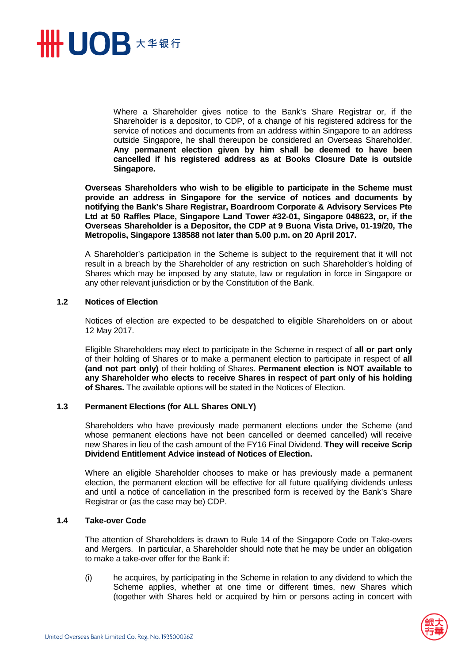

Where a Shareholder gives notice to the Bank's Share Registrar or, if the Shareholder is a depositor, to CDP, of a change of his registered address for the service of notices and documents from an address within Singapore to an address outside Singapore, he shall thereupon be considered an Overseas Shareholder. **Any permanent election given by him shall be deemed to have been cancelled if his registered address as at Books Closure Date is outside Singapore.** 

**Overseas Shareholders who wish to be eligible to participate in the Scheme must provide an address in Singapore for the service of notices and documents by notifying the Bank's Share Registrar, Boardroom Corporate & Advisory Services Pte Ltd at 50 Raffles Place, Singapore Land Tower #32-01, Singapore 048623, or, if the Overseas Shareholder is a Depositor, the CDP at 9 Buona Vista Drive, 01-19/20, The Metropolis, Singapore 138588 not later than 5.00 p.m. on 20 April 2017.** 

A Shareholder's participation in the Scheme is subject to the requirement that it will not result in a breach by the Shareholder of any restriction on such Shareholder's holding of Shares which may be imposed by any statute, law or regulation in force in Singapore or any other relevant jurisdiction or by the Constitution of the Bank.

### **1.2 Notices of Election**

Notices of election are expected to be despatched to eligible Shareholders on or about 12 May 2017.

Eligible Shareholders may elect to participate in the Scheme in respect of **all or part only**  of their holding of Shares or to make a permanent election to participate in respect of **all (and not part only)** of their holding of Shares. **Permanent election is NOT available to any Shareholder who elects to receive Shares in respect of part only of his holding of Shares.** The available options will be stated in the Notices of Election.

## **1.3 Permanent Elections (for ALL Shares ONLY)**

Shareholders who have previously made permanent elections under the Scheme (and whose permanent elections have not been cancelled or deemed cancelled) will receive new Shares in lieu of the cash amount of the FY16 Final Dividend. **They will receive Scrip Dividend Entitlement Advice instead of Notices of Election.** 

Where an eligible Shareholder chooses to make or has previously made a permanent election, the permanent election will be effective for all future qualifying dividends unless and until a notice of cancellation in the prescribed form is received by the Bank's Share Registrar or (as the case may be) CDP.

### **1.4 Take-over Code**

The attention of Shareholders is drawn to Rule 14 of the Singapore Code on Take-overs and Mergers. In particular, a Shareholder should note that he may be under an obligation to make a take-over offer for the Bank if:

(i) he acquires, by participating in the Scheme in relation to any dividend to which the Scheme applies, whether at one time or different times, new Shares which (together with Shares held or acquired by him or persons acting in concert with

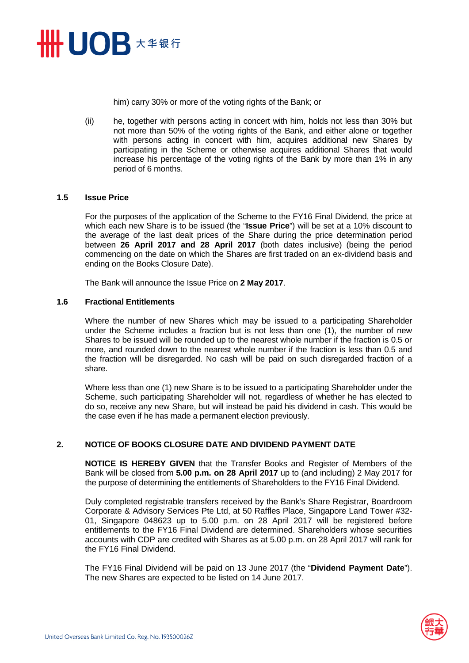

him) carry 30% or more of the voting rights of the Bank; or

(ii) he, together with persons acting in concert with him, holds not less than 30% but not more than 50% of the voting rights of the Bank, and either alone or together with persons acting in concert with him, acquires additional new Shares by participating in the Scheme or otherwise acquires additional Shares that would increase his percentage of the voting rights of the Bank by more than 1% in any period of 6 months.

### **1.5 Issue Price**

For the purposes of the application of the Scheme to the FY16 Final Dividend, the price at which each new Share is to be issued (the "**Issue Price**") will be set at a 10% discount to the average of the last dealt prices of the Share during the price determination period between **26 April 2017 and 28 April 2017** (both dates inclusive) (being the period commencing on the date on which the Shares are first traded on an ex-dividend basis and ending on the Books Closure Date).

The Bank will announce the Issue Price on **2 May 2017**.

#### **1.6 Fractional Entitlements**

Where the number of new Shares which may be issued to a participating Shareholder under the Scheme includes a fraction but is not less than one (1), the number of new Shares to be issued will be rounded up to the nearest whole number if the fraction is 0.5 or more, and rounded down to the nearest whole number if the fraction is less than 0.5 and the fraction will be disregarded. No cash will be paid on such disregarded fraction of a share.

Where less than one (1) new Share is to be issued to a participating Shareholder under the Scheme, such participating Shareholder will not, regardless of whether he has elected to do so, receive any new Share, but will instead be paid his dividend in cash. This would be the case even if he has made a permanent election previously.

## **2. NOTICE OF BOOKS CLOSURE DATE AND DIVIDEND PAYMENT DATE**

**NOTICE IS HEREBY GIVEN** that the Transfer Books and Register of Members of the Bank will be closed from **5.00 p.m. on 28 April 2017** up to (and including) 2 May 2017 for the purpose of determining the entitlements of Shareholders to the FY16 Final Dividend.

Duly completed registrable transfers received by the Bank's Share Registrar, Boardroom Corporate & Advisory Services Pte Ltd, at 50 Raffles Place, Singapore Land Tower #32- 01, Singapore 048623 up to 5.00 p.m. on 28 April 2017 will be registered before entitlements to the FY16 Final Dividend are determined. Shareholders whose securities accounts with CDP are credited with Shares as at 5.00 p.m. on 28 April 2017 will rank for the FY16 Final Dividend.

The FY16 Final Dividend will be paid on 13 June 2017 (the "**Dividend Payment Date**"). The new Shares are expected to be listed on 14 June 2017.